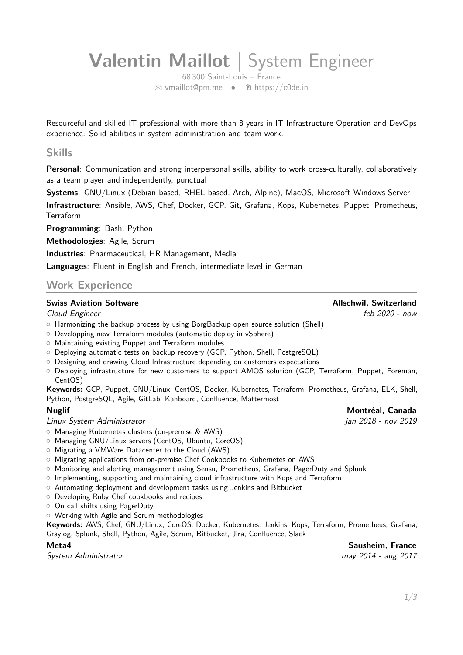# **Valentin Maillot** | System Engineer

68 300 Saint-Louis – France <sup>B</sup> [vmaillot@pm.me](mailto:vmaillot@pm.me) • Í [https://c0de.in](http://https://c0de.in)

Resourceful and skilled IT professional with more than 8 years in IT Infrastructure Operation and DevOps experience. Solid abilities in system administration and team work.

#### **Skills**

**Personal**: Communication and strong interpersonal skills, ability to work cross-culturally, collaboratively as a team player and independently, punctual

**Systems**: GNU/Linux (Debian based, RHEL based, Arch, Alpine), MacOS, Microsoft Windows Server

**Infrastructure**: Ansible, AWS, Chef, Docker, GCP, Git, Grafana, Kops, Kubernetes, Puppet, Prometheus, Terraform

**Programming**: Bash, Python

**Methodologies**: Agile, Scrum

**Industries**: Pharmaceutical, HR Management, Media

**Languages**: Fluent in English and French, intermediate level in German

### **Work Experience**

#### **Swiss Aviation Software Community Community Community Community Community Community Community Community Community**

Cloud Engineer feb 2020 - now

- $\circ$  Harmonizing the backup process by using BorgBackup open source solution (Shell)
- $\circ$  Developping new Terraform modules (automatic deploy in vSphere)
- o Maintaining existing Puppet and Terraform modules
- $\circ$  Deploying automatic tests on backup recovery (GCP, Python, Shell, PostgreSQL)
- $\circ$  Designing and drawing Cloud Infrastructure depending on customers expectations
- $\circ$  Deploying infrastructure for new customers to support AMOS solution (GCP, Terraform, Puppet, Foreman, CentOS)

**Keywords:** GCP, Puppet, GNU/Linux, CentOS, Docker, Kubernetes, Terraform, Prometheus, Grafana, ELK, Shell, Python, PostgreSQL, Agile, GitLab, Kanboard, Confluence, Mattermost

#### **Nuglif Montréal, Canada**

#### Linux System Administrator jan 2018 - nov 2019

- { Managing Kubernetes clusters (on-premise & AWS)
- Managing GNU/Linux servers (CentOS, Ubuntu, CoreOS)
- o Migrating a VMWare Datacenter to the Cloud (AWS)
- $\circ$  Migrating applications from on-premise Chef Cookbooks to Kubernetes on AWS
- { Monitoring and alerting management using Sensu, Prometheus, Grafana, PagerDuty and Splunk
- o Implementing, supporting and maintaining cloud infrastructure with Kops and Terraform
- $\circ$  Automating deployment and development tasks using Jenkins and Bitbucket
- o Developing Ruby Chef cookbooks and recipes
- o On call shifts using PagerDuty
- o Working with Agile and Scrum methodologies

**Keywords:** AWS, Chef, GNU/Linux, CoreOS, Docker, Kubernetes, Jenkins, Kops, Terraform, Prometheus, Grafana, Graylog, Splunk, Shell, Python, Agile, Scrum, Bitbucket, Jira, Confluence, Slack

System Administrator may 2014 - aug 2017

**Meta4 Sausheim, France**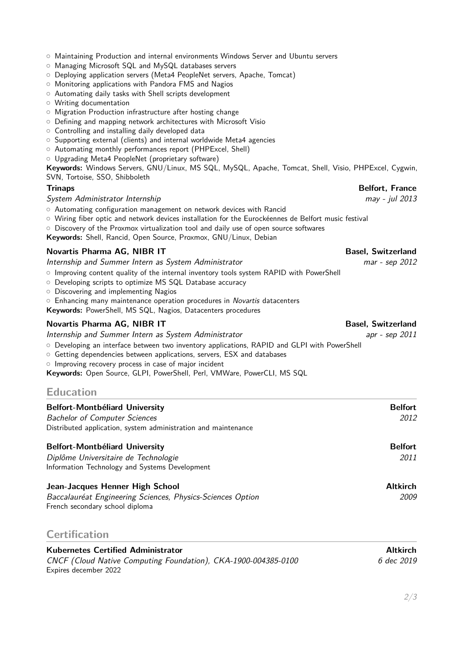- $\circ$  Maintaining Production and internal environments Windows Server and Ubuntu servers
- Managing Microsoft SQL and MySQL databases servers
- { Deploying application servers (Meta4 PeopleNet servers, Apache, Tomcat)
- $\circ$  Monitoring applications with Pandora FMS and Nagios
- $\circ$  Automating daily tasks with Shell scripts development
- o Writing documentation
- o Migration Production infrastructure after hosting change
- $\circ$  Defining and mapping network architectures with Microsoft Visio
- o Controlling and installing daily developed data
- { Supporting external (clients) and internal worldwide Meta4 agencies
- { Automating monthly performances report (PHPExcel, Shell)
- o Upgrading Meta4 PeopleNet (proprietary software)

**Keywords:** Windows Servers, GNU/Linux, MS SQL, MySQL, Apache, Tomcat, Shell, Visio, PHPExcel, Cygwin, SVN, Tortoise, SSO, Shibboleth

#### **Trinaps Belfort, France**

#### System Administrator Internship may - jul 2013

- o Automating configuration management on network devices with Rancid
- { Wiring fiber optic and network devices installation for the Eurockéennes de Belfort music festival
- $\circ$  Discovery of the Proxmox virtualization tool and daily use of open source softwares

**Keywords:** Shell, Rancid, Open Source, Proxmox, GNU/Linux, Debian

#### **Novartis Pharma AG, NIBR IT Basel, Switzerland**

Internship and Summer Intern as System Administrator matching the matching of the sep 2012

- $\circ$  Improving content quality of the internal inventory tools system RAPID with PowerShell
- { Developing scripts to optimize MS SQL Database accuracy
- $\circ$  Discovering and implementing Nagios
- $\circ$  Enhancing many maintenance operation procedures in Novartis datacenters
- **Keywords:** PowerShell, MS SQL, Nagios, Datacenters procedures

#### **Novartis Pharma AG, NIBR IT Basel, Switzerland**

Internship and Summer Intern as System Administrator and approximate apr - sep 2011

- { Developing an interface between two inventory applications, RAPID and GLPI with PowerShell
- { Getting dependencies between applications, servers, ESX and databases
- o Improving recovery process in case of major incident

**Keywords:** Open Source, GLPI, PowerShell, Perl, VMWare, PowerCLI, MS SQL

### **Education**

| <b>Belfort-Montbéliard University</b><br><b>Bachelor of Computer Sciences</b><br>Distributed application, system administration and maintenance | <b>Belfort</b><br>2012  |
|-------------------------------------------------------------------------------------------------------------------------------------------------|-------------------------|
| <b>Belfort-Montbéliard University</b><br>Diplôme Universitaire de Technologie<br>Information Technology and Systems Development                 | <b>Belfort</b><br>2011  |
| Jean-Jacques Henner High School<br>Baccalauréat Engineering Sciences, Physics-Sciences Option<br>French secondary school diploma                | <b>Altkirch</b><br>2009 |

### **Certification**

| <b>Kubernetes Certified Administrator</b>                      | <b>Altkirch</b> |
|----------------------------------------------------------------|-----------------|
| CNCF (Cloud Native Computing Foundation), CKA-1900-004385-0100 | 6 dec 2019      |
| Expires december 2022                                          |                 |